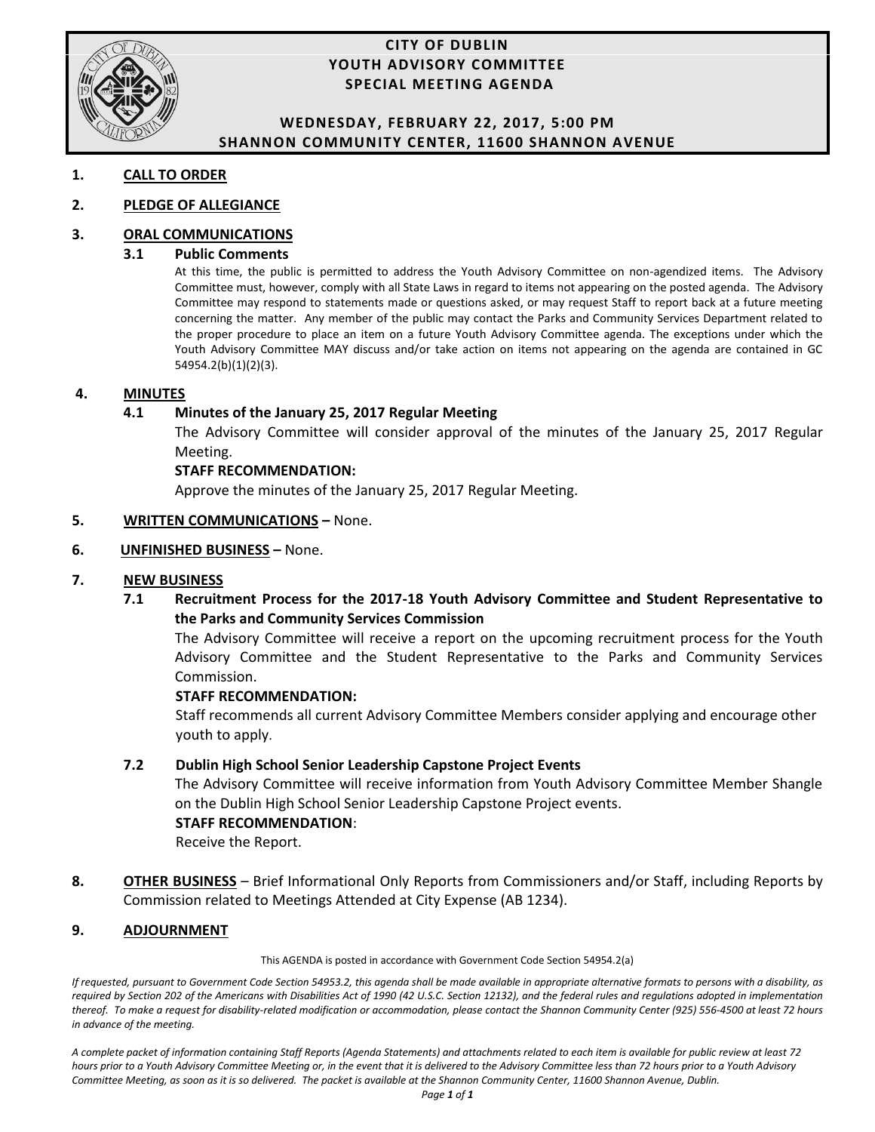

#### **CITY OF DUBLIN YOUTH ADVISORY COMMITTEE SPECIAL MEETING AGENDA**

#### **WEDNESDAY, FEBRUARY 22, 2017, 5:00 PM SHANNON COMMUNITY CENTER, 11600 SHANNON AVENUE**

#### **1. CALL TO ORDER**

#### **2. PLEDGE OF ALLEGIANCE**

#### **3. ORAL COMMUNICATIONS**

#### **3.1 Public Comments**

At this time, the public is permitted to address the Youth Advisory Committee on non-agendized items. The Advisory Committee must, however, comply with all State Laws in regard to items not appearing on the posted agenda. The Advisory Committee may respond to statements made or questions asked, or may request Staff to report back at a future meeting concerning the matter. Any member of the public may contact the Parks and Community Services Department related to the proper procedure to place an item on a future Youth Advisory Committee agenda. The exceptions under which the Youth Advisory Committee MAY discuss and/or take action on items not appearing on the agenda are contained in GC 54954.2(b)(1)(2)(3).

#### **4. MINUTES**

#### **4.1 Minutes of the January 25, 2017 Regular Meeting**

The Advisory Committee will consider approval of the minutes of the January 25, 2017 Regular Meeting.

#### **STAFF RECOMMENDATION:**

Approve the minutes of the January 25, 2017 Regular Meeting.

#### **5. WRITTEN COMMUNICATIONS – None.**

#### **6. UNFINISHED BUSINESS - None.**

#### **7. NEW BUSINESS**

**7.1 Recruitment Process for the 2017-18 Youth Advisory Committee and Student Representative to the Parks and Community Services Commission** 

 The Advisory Committee will receive a report on the upcoming recruitment process for the Youth Advisory Committee and the Student Representative to the Parks and Community Services Commission.

#### **STAFF RECOMMENDATION:**

 Staff recommends all current Advisory Committee Members consider applying and encourage other youth to apply.

#### **7.2 Dublin High School Senior Leadership Capstone Project Events**

The Advisory Committee will receive information from Youth Advisory Committee Member Shangle on the Dublin High School Senior Leadership Capstone Project events.

#### **STAFF RECOMMENDATION**:

Receive the Report.

**8. OTHER BUSINESS** – Brief Informational Only Reports from Commissioners and/or Staff, including Reports by Commission related to Meetings Attended at City Expense (AB 1234).

#### **9. ADJOURNMENT**

This AGENDA is posted in accordance with Government Code Section 54954.2(a)

*If requested, pursuant to Government Code Section 54953.2, this agenda shall be made available in appropriate alternative formats to persons with a disability, as required by Section 202 of the Americans with Disabilities Act of 1990 (42 U.S.C. Section 12132), and the federal rules and regulations adopted in implementation thereof. To make a request for disability-related modification or accommodation, please contact the Shannon Community Center (925) 556-4500 at least 72 hours in advance of the meeting.* 

*A complete packet of information containing Staff Reports (Agenda Statements) and attachments related to each item is available for public review at least 72 hours prior to a Youth Advisory Committee Meeting or, in the event that it is delivered to the Advisory Committee less than 72 hours prior to a Youth Advisory Committee Meeting, as soon as it is so delivered. The packet is available at the Shannon Community Center, 11600 Shannon Avenue, Dublin.*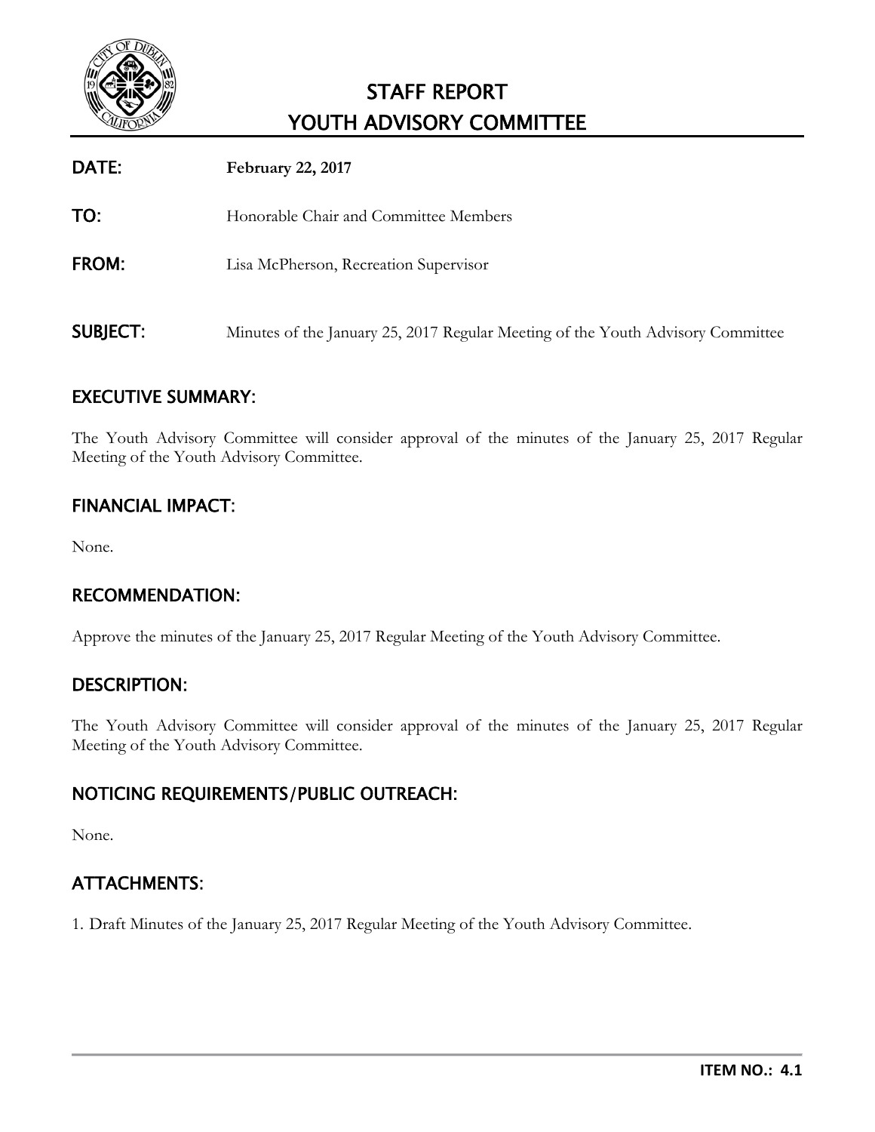

# STAFF REPORT YOUTH ADVISORY COMMITTEE

| DATE:           | <b>February 22, 2017</b>                                                        |
|-----------------|---------------------------------------------------------------------------------|
| TO:             | Honorable Chair and Committee Members                                           |
| <b>FROM:</b>    | Lisa McPherson, Recreation Supervisor                                           |
| <b>SUBJECT:</b> | Minutes of the January 25, 2017 Regular Meeting of the Youth Advisory Committee |

# EXECUTIVE SUMMARY:

The Youth Advisory Committee will consider approval of the minutes of the January 25, 2017 Regular Meeting of the Youth Advisory Committee.

# FINANCIAL IMPACT:

None.

# RECOMMENDATION:

Approve the minutes of the January 25, 2017 Regular Meeting of the Youth Advisory Committee.

# DESCRIPTION:

The Youth Advisory Committee will consider approval of the minutes of the January 25, 2017 Regular Meeting of the Youth Advisory Committee.

# NOTICING REQUIREMENTS/PUBLIC OUTREACH:

None.

# ATTACHMENTS:

1. Draft Minutes of the January 25, 2017 Regular Meeting of the Youth Advisory Committee.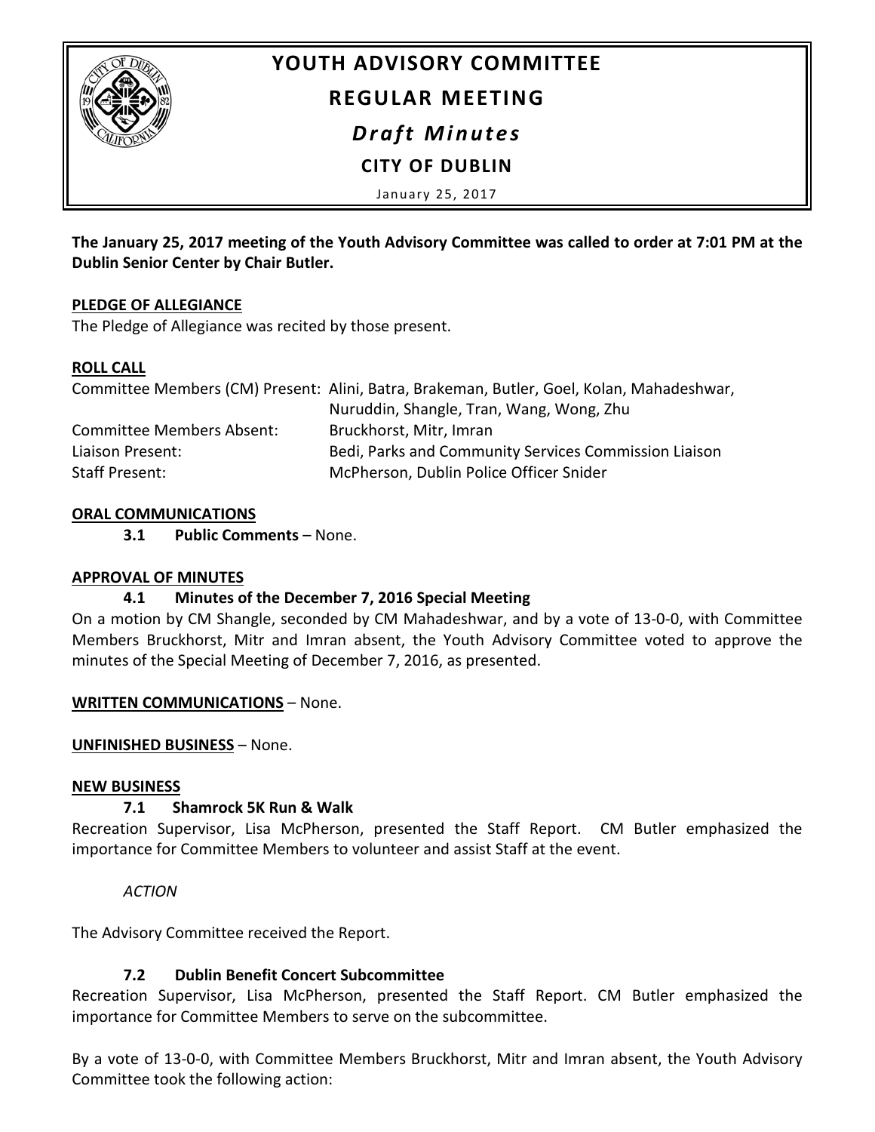

# **YOUTH ADVISORY COMMITTEE**

# **REGULAR MEETING**

*Draft Minutes*

# **CITY OF DUBLIN**

January 25, 2017

**The January 25, 2017 meeting of the Youth Advisory Committee was called to order at 7:01 PM at the Dublin Senior Center by Chair Butler.**

#### **PLEDGE OF ALLEGIANCE**

The Pledge of Allegiance was recited by those present.

#### **ROLL CALL**

|                           | Committee Members (CM) Present: Alini, Batra, Brakeman, Butler, Goel, Kolan, Mahadeshwar, |
|---------------------------|-------------------------------------------------------------------------------------------|
|                           | Nuruddin, Shangle, Tran, Wang, Wong, Zhu                                                  |
| Committee Members Absent: | Bruckhorst, Mitr, Imran                                                                   |
| Liaison Present:          | Bedi, Parks and Community Services Commission Liaison                                     |
| Staff Present:            | McPherson, Dublin Police Officer Snider                                                   |

#### **ORAL COMMUNICATIONS**

**3.1 Public Comments** – None.

#### **APPROVAL OF MINUTES**

# **4.1 Minutes of the December 7, 2016 Special Meeting**

On a motion by CM Shangle, seconded by CM Mahadeshwar, and by a vote of 13-0-0, with Committee Members Bruckhorst, Mitr and Imran absent, the Youth Advisory Committee voted to approve the minutes of the Special Meeting of December 7, 2016, as presented.

#### **WRITTEN COMMUNICATIONS** – None.

#### **UNFINISHED BUSINESS** – None.

#### **NEW BUSINESS**

# **7.1 Shamrock 5K Run & Walk**

Recreation Supervisor, Lisa McPherson, presented the Staff Report. CM Butler emphasized the importance for Committee Members to volunteer and assist Staff at the event.

# *ACTION*

The Advisory Committee received the Report.

# **7.2 Dublin Benefit Concert Subcommittee**

Recreation Supervisor, Lisa McPherson, presented the Staff Report. CM Butler emphasized the importance for Committee Members to serve on the subcommittee.

By a vote of 13-0-0, with Committee Members Bruckhorst, Mitr and Imran absent, the Youth Advisory Committee took the following action: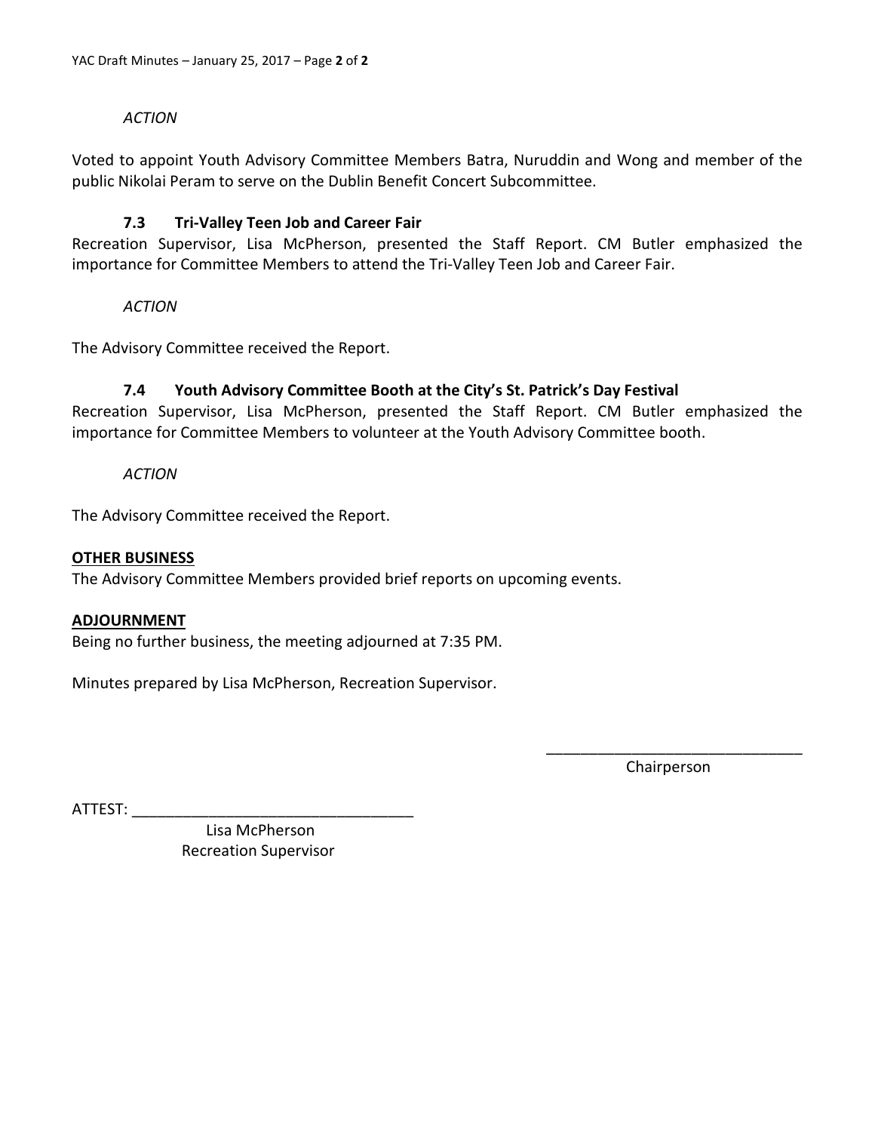#### *ACTION*

Voted to appoint Youth Advisory Committee Members Batra, Nuruddin and Wong and member of the public Nikolai Peram to serve on the Dublin Benefit Concert Subcommittee.

#### **7.3 Tri-Valley Teen Job and Career Fair**

Recreation Supervisor, Lisa McPherson, presented the Staff Report. CM Butler emphasized the importance for Committee Members to attend the Tri-Valley Teen Job and Career Fair.

*ACTION*

The Advisory Committee received the Report.

#### **7.4 Youth Advisory Committee Booth at the City's St. Patrick's Day Festival**

Recreation Supervisor, Lisa McPherson, presented the Staff Report. CM Butler emphasized the importance for Committee Members to volunteer at the Youth Advisory Committee booth.

*ACTION*

The Advisory Committee received the Report.

#### **OTHER BUSINESS**

The Advisory Committee Members provided brief reports on upcoming events.

#### **ADJOURNMENT**

Being no further business, the meeting adjourned at 7:35 PM.

Minutes prepared by Lisa McPherson, Recreation Supervisor.

\_\_\_\_\_\_\_\_\_\_\_\_\_\_\_\_\_\_\_\_\_\_\_\_\_\_\_\_\_\_ Chairperson

ATTEST: \_\_\_\_\_\_\_\_\_\_\_\_\_\_\_\_\_\_\_\_\_\_\_\_\_\_\_\_\_\_\_\_\_

 Lisa McPherson Recreation Supervisor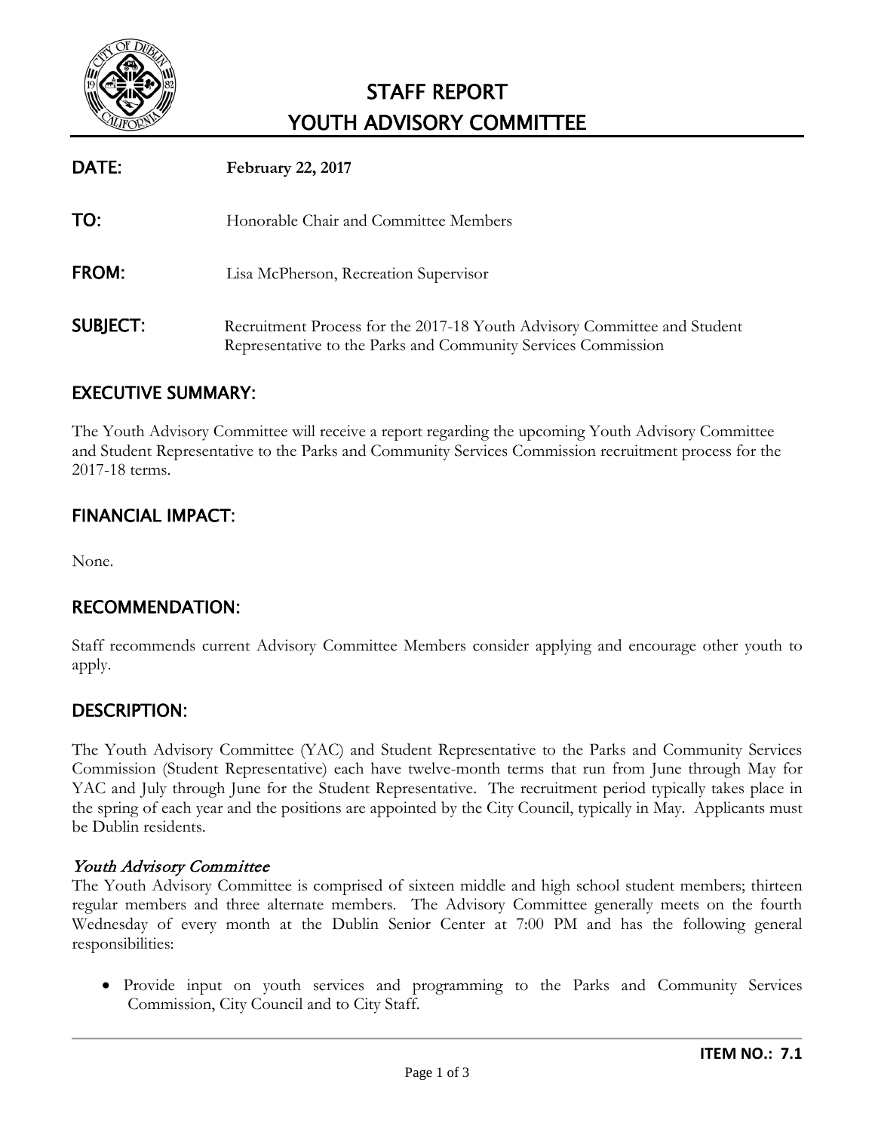

# STAFF REPORT YOUTH ADVISORY COMMITTEE

| DATE:           | <b>February 22, 2017</b>                                                                                                                  |
|-----------------|-------------------------------------------------------------------------------------------------------------------------------------------|
| TO:             | Honorable Chair and Committee Members                                                                                                     |
| <b>FROM:</b>    | Lisa McPherson, Recreation Supervisor                                                                                                     |
| <b>SUBJECT:</b> | Recruitment Process for the 2017-18 Youth Advisory Committee and Student<br>Representative to the Parks and Community Services Commission |

# EXECUTIVE SUMMARY:

The Youth Advisory Committee will receive a report regarding the upcoming Youth Advisory Committee and Student Representative to the Parks and Community Services Commission recruitment process for the 2017-18 terms.

# FINANCIAL IMPACT:

None.

# RECOMMENDATION:

Staff recommends current Advisory Committee Members consider applying and encourage other youth to apply.

# DESCRIPTION:

The Youth Advisory Committee (YAC) and Student Representative to the Parks and Community Services Commission (Student Representative) each have twelve-month terms that run from June through May for YAC and July through June for the Student Representative. The recruitment period typically takes place in the spring of each year and the positions are appointed by the City Council, typically in May. Applicants must be Dublin residents.

#### Youth Advisory Committee

The Youth Advisory Committee is comprised of sixteen middle and high school student members; thirteen regular members and three alternate members. The Advisory Committee generally meets on the fourth Wednesday of every month at the Dublin Senior Center at 7:00 PM and has the following general responsibilities:

• Provide input on youth services and programming to the Parks and Community Services Commission, City Council and to City Staff.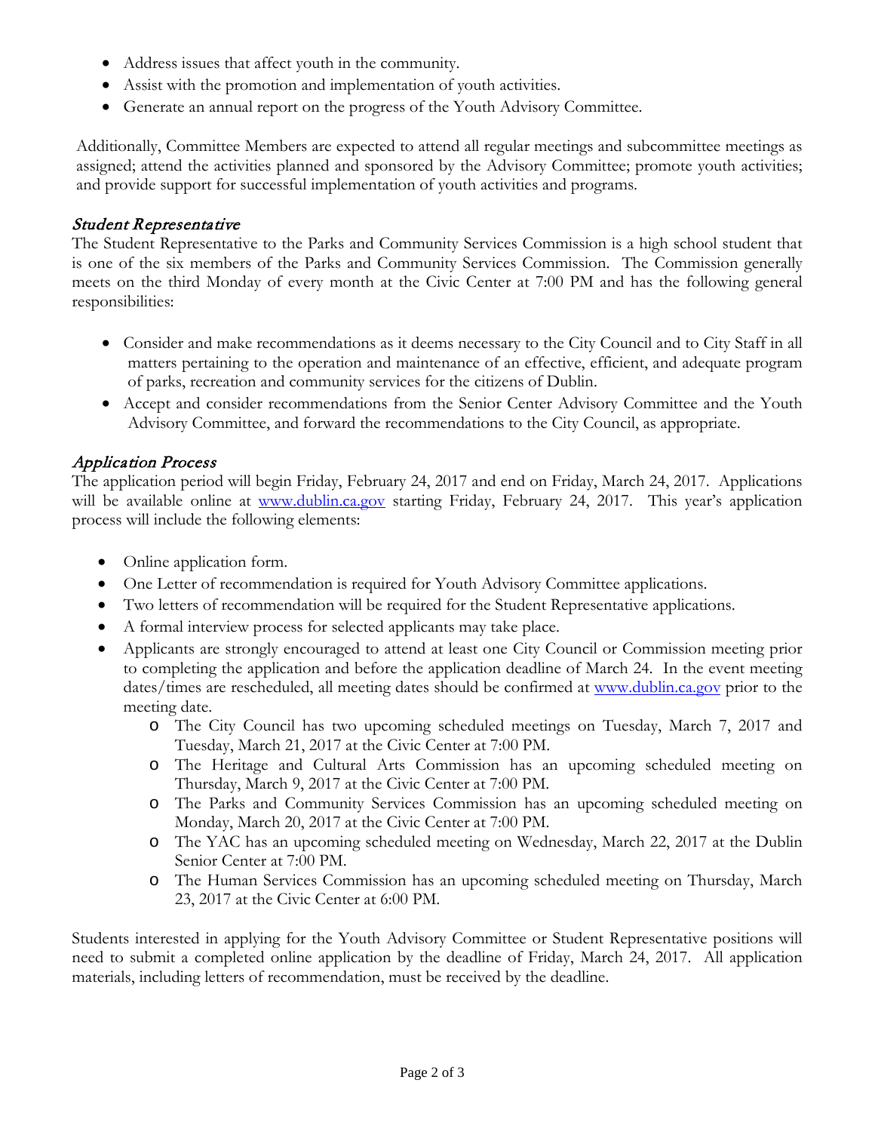- Address issues that affect youth in the community.
- Assist with the promotion and implementation of youth activities.
- Generate an annual report on the progress of the Youth Advisory Committee.

Additionally, Committee Members are expected to attend all regular meetings and subcommittee meetings as assigned; attend the activities planned and sponsored by the Advisory Committee; promote youth activities; and provide support for successful implementation of youth activities and programs.

#### Student Representative

The Student Representative to the Parks and Community Services Commission is a high school student that is one of the six members of the Parks and Community Services Commission. The Commission generally meets on the third Monday of every month at the Civic Center at 7:00 PM and has the following general responsibilities:

- Consider and make recommendations as it deems necessary to the City Council and to City Staff in all matters pertaining to the operation and maintenance of an effective, efficient, and adequate program of parks, recreation and community services for the citizens of Dublin.
- Accept and consider recommendations from the Senior Center Advisory Committee and the Youth Advisory Committee, and forward the recommendations to the City Council, as appropriate.

#### Application Process

The application period will begin Friday, February 24, 2017 and end on Friday, March 24, 2017. Applications will be available online at [www.dublin.ca.gov](http://www.dublin.ca.gov/) starting Friday, February 24, 2017. This year's application process will include the following elements:

- Online application form.
- One Letter of recommendation is required for Youth Advisory Committee applications.
- Two letters of recommendation will be required for the Student Representative applications.
- A formal interview process for selected applicants may take place.
- Applicants are strongly encouraged to attend at least one City Council or Commission meeting prior to completing the application and before the application deadline of March 24. In the event meeting dates/times are rescheduled, all meeting dates should be confirmed at [www.dublin.ca.gov](http://www.dublin.ca.gov/) prior to the meeting date.
	- o The City Council has two upcoming scheduled meetings on Tuesday, March 7, 2017 and Tuesday, March 21, 2017 at the Civic Center at 7:00 PM.
	- o The Heritage and Cultural Arts Commission has an upcoming scheduled meeting on Thursday, March 9, 2017 at the Civic Center at 7:00 PM.
	- o The Parks and Community Services Commission has an upcoming scheduled meeting on Monday, March 20, 2017 at the Civic Center at 7:00 PM.
	- o The YAC has an upcoming scheduled meeting on Wednesday, March 22, 2017 at the Dublin Senior Center at 7:00 PM.
	- o The Human Services Commission has an upcoming scheduled meeting on Thursday, March 23, 2017 at the Civic Center at 6:00 PM.

Students interested in applying for the Youth Advisory Committee or Student Representative positions will need to submit a completed online application by the deadline of Friday, March 24, 2017. All application materials, including letters of recommendation, must be received by the deadline.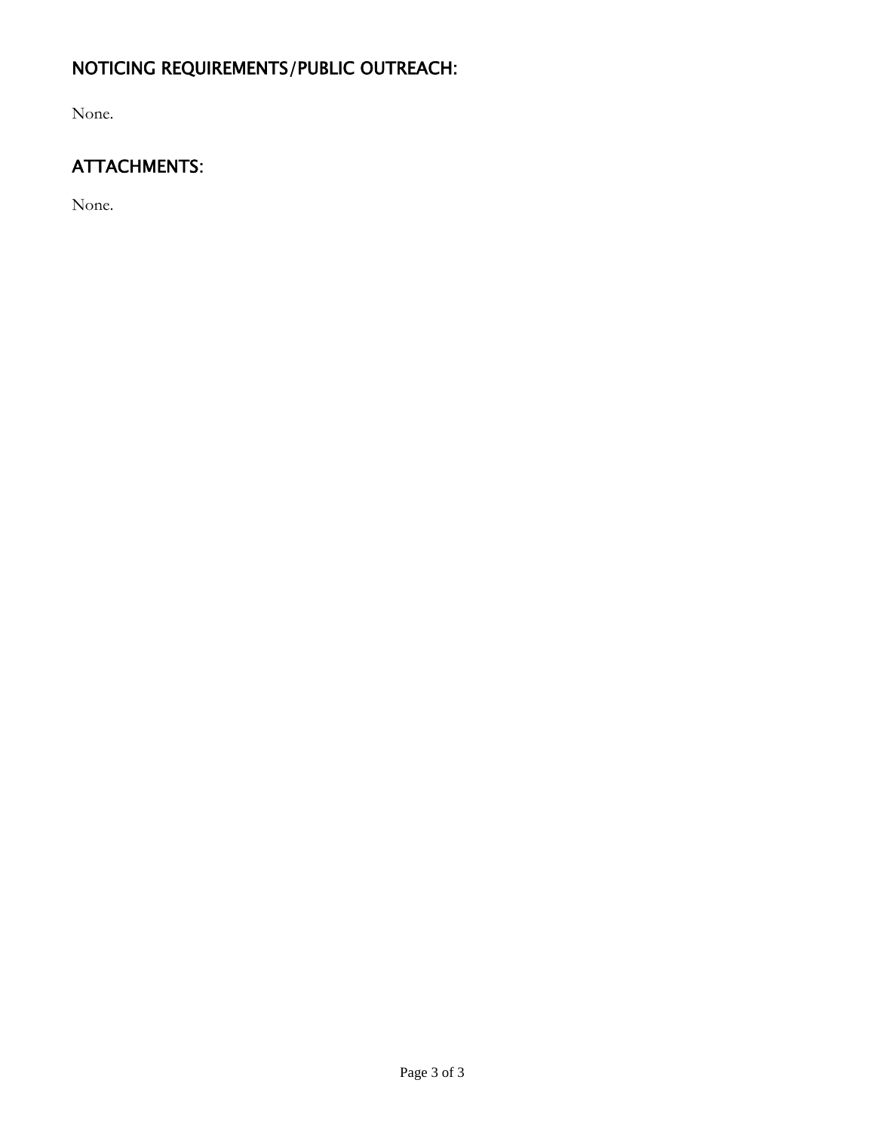# NOTICING REQUIREMENTS/PUBLIC OUTREACH:

None.

# ATTACHMENTS:

None.